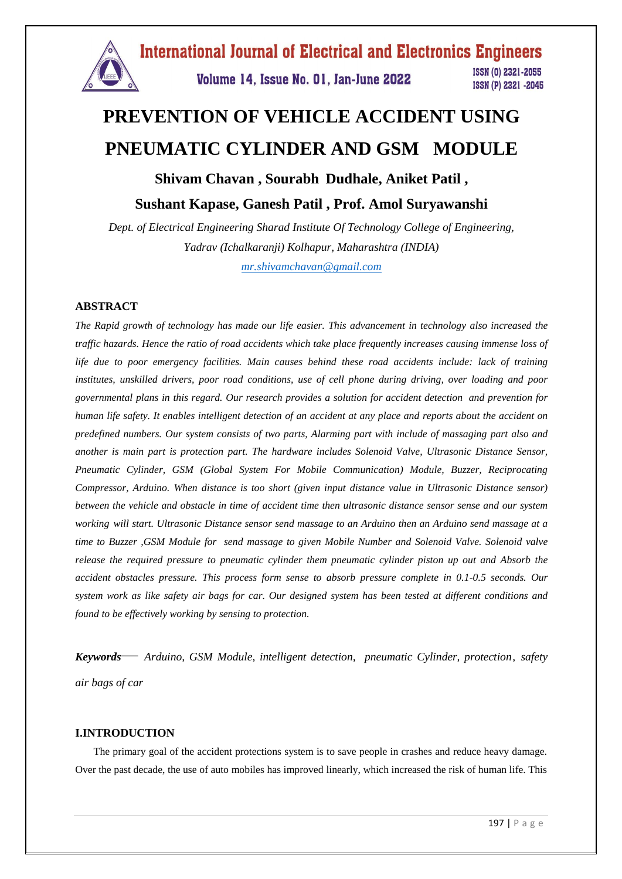

# **PREVENTION OF VEHICLE ACCIDENT USING PNEUMATIC CYLINDER AND GSM MODULE**

# **Shivam Chavan , Sourabh Dudhale, Aniket Patil , Sushant Kapase, Ganesh Patil , Prof. Amol Suryawanshi**

*Dept. of Electrical Engineering Sharad Institute Of Technology College of Engineering, Yadrav (Ichalkaranji) Kolhapur, Maharashtra (INDIA) [mr.shivamchavan@gmail.com](mailto:mr.shivamchavan@gmail.com)*

# **ABSTRACT**

The Rapid growth of technology has made our life easier. This advancement in technology also increased the traffic hazards. Hence the ratio of road accidents which take place frequently increases causing immense loss of *life due to poor emergency facilities. Main causes behind these road accidents include: lack of training institutes, unskilled drivers, poor road conditions, use of cell phone during driving, over loading and poor governmental plans in this regard. Our research provides a solution for accident detection and prevention for* human life safety. It enables intelligent detection of an accident at any place and reports about the accident on predefined numbers. Our system consists of two parts, Alarming part with include of massaging part also and *another is main part is protection part. The hardware includes Solenoid Valve, Ultrasonic Distance Sensor, Pneumatic Cylinder, GSM (Global System For Mobile Communication) Module, Buzzer, Reciprocating Compressor, Arduino. When distance is too short (given input distance value in Ultrasonic Distance sensor)* between the vehicle and obstacle in time of accident time then ultrasonic distance sensor sense and our system working will start. Ultrasonic Distance sensor send massage to an Arduino then an Arduino send massage at a *time to Buzzer ,GSM Module for send massage to given Mobile Number and Solenoid Valve. Solenoid valve release the required pressure to pneumatic cylinder them pneumatic cylinder piston up out and Absorb the accident obstacles pressure. This process form sense to absorb pressure complete in 0.1-0.5 seconds. Our* system work as like safety air bags for car. Our designed system has been tested at different conditions and *found to be effectively working by sensing to protection.*

*Keywords— Arduino, GSM Module, intelligent detection, pneumatic Cylinder, protection, safety air bags of car*

#### **I.INTRODUCTION**

 The primary goal of the accident protections system is to save people in crashes and reduce heavy damage. Over the past decade, the use of auto mobiles has improved linearly, which increased the risk of human life. This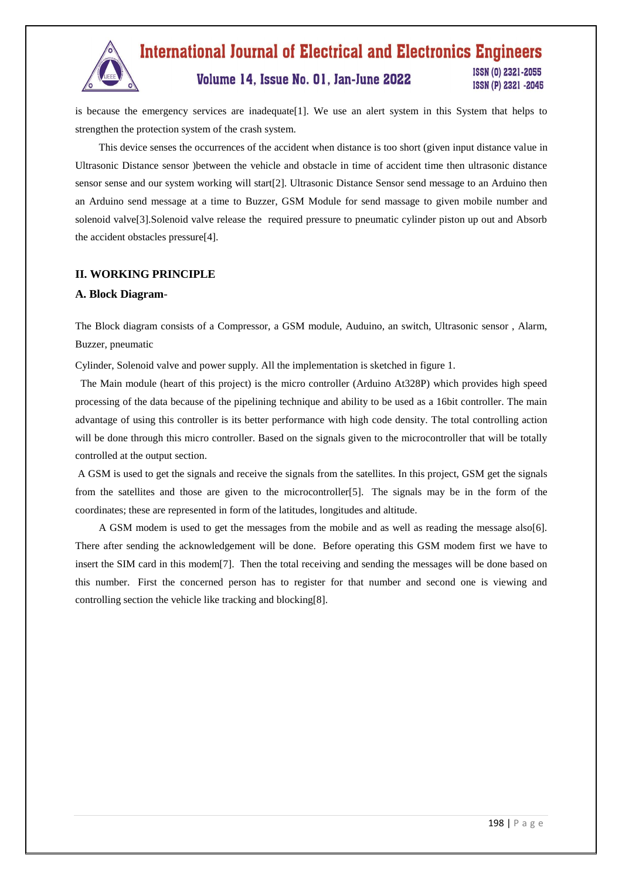

#### **International Journal of Electrical and Electronics Engineers** ISSN (0) 2321-2055 Volume 14, Issue No. 01, Jan-June 2022 ISSN (P) 2321 -2045

is because the emergency services are inadequate[1]. We use an alert system in this System that helps to strengthen the protection system of the crash system.

 This device senses the occurrences of the accident when distance is too short (given input distance value in Ultrasonic Distance sensor )between the vehicle and obstacle in time of accident time then ultrasonic distance sensor sense and our system working will start[2]. Ultrasonic Distance Sensor send message to an Arduino then an Arduino send message at a time to Buzzer, GSM Module for send massage to given mobile number and solenoid valve[3].Solenoid valve release the required pressure to pneumatic cylinder piston up out and Absorb the accident obstacles pressure[4].

# **II. WORKING PRINCIPLE**

#### **A. Block Diagram***-*

The Block diagram consists of a Compressor, a GSM module, Auduino, an switch, Ultrasonic sensor , Alarm, Buzzer, pneumatic

Cylinder, Solenoid valve and power supply. All the implementation is sketched in figure 1.

 The Main module (heart of this project) is the micro controller (Arduino At328P) which provides high speed processing of the data because of the pipelining technique and ability to be used as a 16bit controller. The main advantage of using this controller is its better performance with high code density. The total controlling action will be done through this micro controller. Based on the signals given to the microcontroller that will be totally controlled at the output section.

A GSM is used to get the signals and receive the signals from the satellites. In this project, GSM get the signals from the satellites and those are given to the microcontroller[5]. The signals may be in the form of the coordinates; these are represented in form of the latitudes, longitudes and altitude.

 A GSM modem is used to get the messages from the mobile and as well as reading the message also[6]. There after sending the acknowledgement will be done. Before operating this GSM modem first we have to insert the SIM card in this modem[7]. Then the total receiving and sending the messages will be done based on this number. First the concerned person has to register for that number and second one is viewing and controlling section the vehicle like tracking and blocking[8].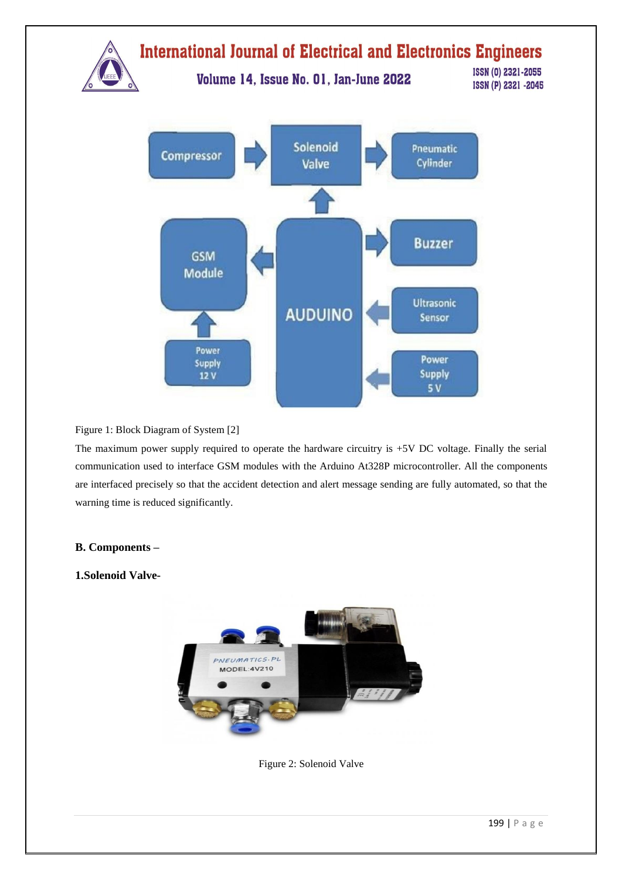

# Figure 1: Block Diagram of System [2]

The maximum power supply required to operate the hardware circuitry is +5V DC voltage. Finally the serial communication used to interface GSM modules with the Arduino At328P microcontroller. All the components are interfaced precisely so that the accident detection and alert message sending are fully automated, so that the warning time is reduced significantly.

# **B. Components –**

# **1.Solenoid Valve-**



Figure 2: Solenoid Valve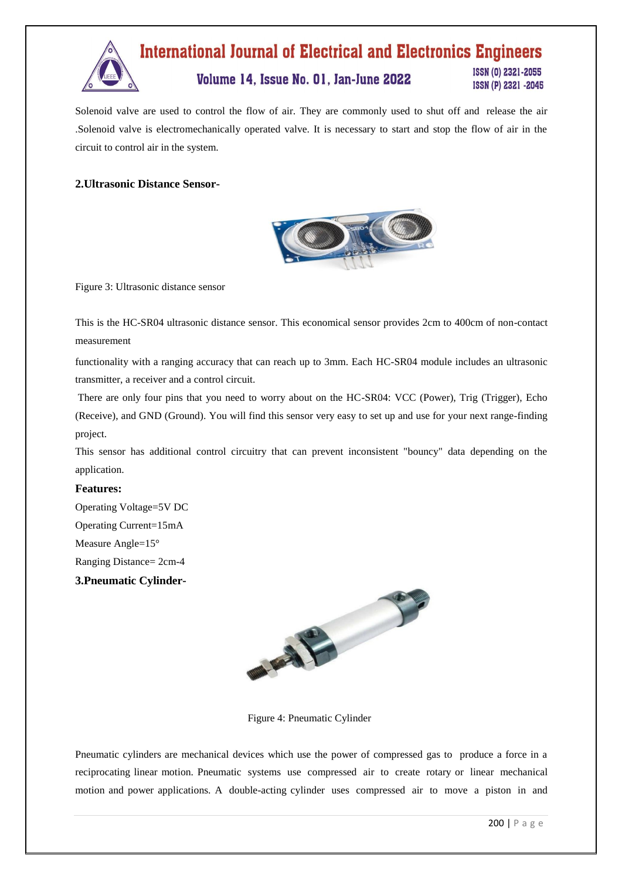

Solenoid valve are used to control the flow of air. They are commonly used to shut off and release the air .Solenoid valve is electromechanically operated valve. It is necessary to start and stop the flow of air in the circuit to control air in the system.

# **2.Ultrasonic Distance Sensor-**



Figure 3: Ultrasonic distance sensor

This is the HC-SR04 ultrasonic distance sensor. This economical sensor provides 2cm to 400cm of non-contact measurement

functionality with a ranging accuracy that can reach up to 3mm. Each HC-SR04 module includes an ultrasonic transmitter, a receiver and a control circuit.

There are only four pins that you need to worry about on the HC-SR04: VCC (Power), Trig (Trigger), Echo (Receive), and GND (Ground). You will find this sensor very easy to set up and use for your next range-finding project.

This sensor has additional control circuitry that can prevent inconsistent "bouncy" data depending on the application.

#### **Features:**

Operating Voltage=5V DC Operating Current=15mA Measure Angle=15° Ranging Distance= 2cm-4 **3.Pneumatic Cylinder-**



Figure 4: Pneumatic Cylinder

Pneumatic cylinders are mechanical devices which use the power of compressed gas to produce a force in a reciprocating linear motion. Pneumatic systems use compressed air to create rotary or linear mechanical motion and power applications. A double-acting cylinder uses compressed air to move a piston in and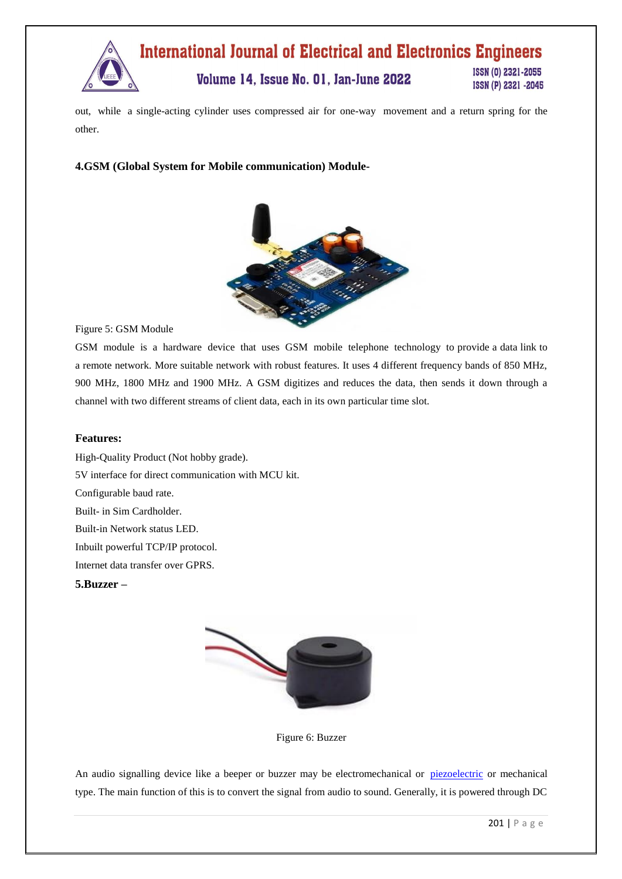

out, while a single-acting cylinder uses compressed air for one-way movement and a return spring for the other.

# **4.GSM (Global System for Mobile communication) Module-**



Figure 5: GSM Module

GSM module is a hardware device that uses GSM mobile telephone technology to provide a data link to a remote network. More suitable network with robust features. It uses 4 different frequency bands of 850 MHz, 900 MHz, 1800 MHz and 1900 MHz. A GSM digitizes and reduces the data, then sends it down through a channel with two different streams of client data, each in its own particular time slot.

#### **Features:**

High-Quality Product (Not hobby grade). 5V interface for direct communication with MCU kit. Configurable baud rate. Built- in Sim Cardholder. Built-in Network status LED. Inbuilt powerful TCP/IP protocol. Internet data transfer over GPRS.

**5.Buzzer –**



Figure 6: Buzzer

An audio signalling device like a beeper or buzzer may be electromechanical or [piezoelectric](https://www.elprocus.com/what-is-a-piezoelectric-material-working/) or mechanical type. The main function of this is to convert the signal from audio to sound. Generally, it is powered through DC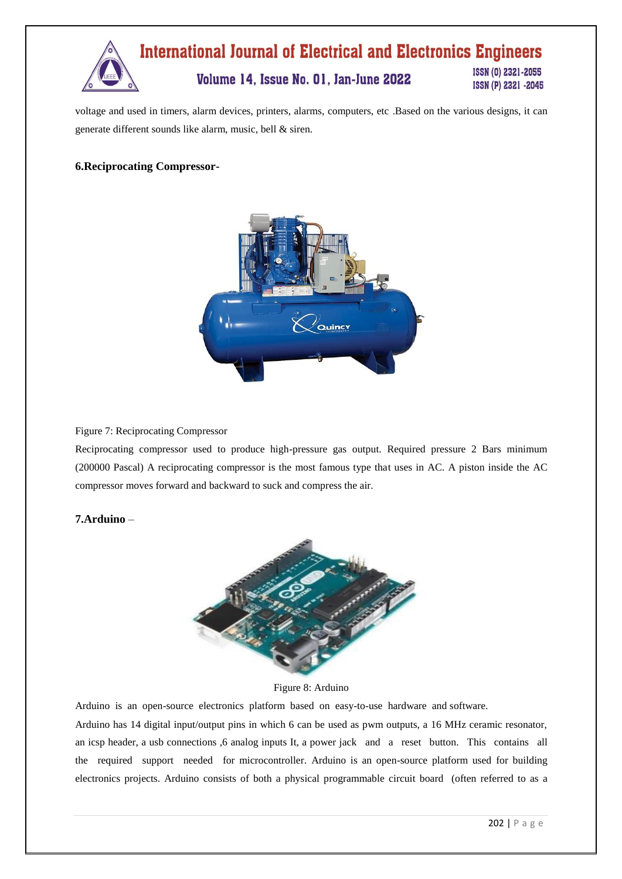

voltage and used in timers, alarm devices, printers, alarms, computers, etc .Based on the various designs, it can generate different sounds like alarm, music, bell & siren.

# **6.Reciprocating Compressor-**



#### Figure 7: Reciprocating Compressor

Reciprocating compressor used to produce high-pressure gas output. Required pressure 2 Bars minimum (200000 Pascal) A reciprocating compressor is the most famous type that uses in AC. A piston inside the AC compressor moves forward and backward to suck and compress the air.

# **7.Arduino** –



Figure 8: Arduino

Arduino is an open-source electronics platform based on easy-to-use hardware and software.

Arduino has 14 digital input/output pins in which 6 can be used as pwm outputs, a 16 MHz ceramic resonator, an icsp header, a usb connections ,6 analog inputs It, a power jack and a reset button. This contains all the required support needed for microcontroller. Arduino is an open-source platform used for building electronics projects. Arduino consists of both a physical programmable circuit board (often referred to as a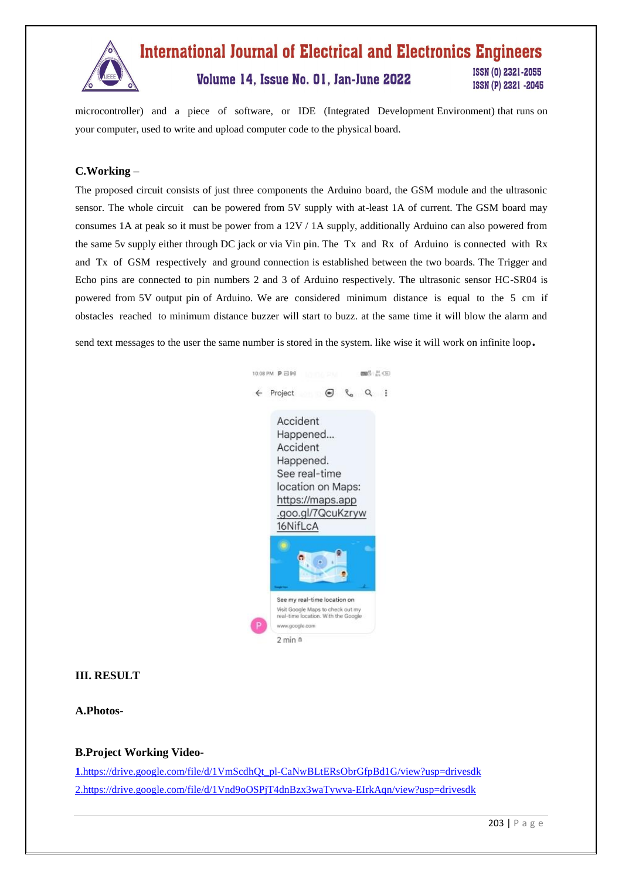

#### **International Journal of Electrical and Electronics Engineers** ISSN (0) 2321-2055 Volume 14, Issue No. 01, Jan-June 2022 ISSN (P) 2321 -2045

microcontroller) and a piece of software, or IDE (Integrated Development Environment) that runs on your computer, used to write and upload computer code to the physical board.

# **C.Working –**

The proposed circuit consists of just three components the Arduino board, the GSM module and the ultrasonic sensor. The whole circuit can be powered from 5V supply with at-least 1A of current. The GSM board may consumes 1A at peak so it must be power from a 12V / 1A supply, additionally Arduino can also powered from the same 5v supply either through DC jack or via Vin pin. The Tx and Rx of Arduino is connected with Rx and Tx of GSM respectively and ground connection is established between the two boards. The Trigger and Echo pins are connected to pin numbers 2 and 3 of Arduino respectively. The ultrasonic sensor HC-SR04 is powered from 5V output pin of Arduino. We are considered minimum distance is equal to the 5 cm if obstacles reached to minimum distance buzzer will start to buzz. at the same time it will blow the alarm and

send text messages to the user the same number is stored in the system. like wise it will work on infinite loop.



# **III. RESULT**

**A.Photos-**

#### **B.Project Working Video-**

**[1](https://drive.google.com/file/d/1VmScdhQt_pl-CaNwBLtERsObrGfpBd1G/view?usp=drivesdk)**[.https://drive.google.com/file/d/1VmScdhQt\\_pl-CaNwBLtERsObrGfpBd1G/view?usp=drivesdk](https://drive.google.com/file/d/1VmScdhQt_pl-CaNwBLtERsObrGfpBd1G/view?usp=drivesdk) [2.https://drive.google.com/file/d/1Vnd9oOSPjT4dnBzx3waTywva-EIrkAqn/view?usp=drivesdk](https://drive.google.com/file/d/1Vnd9oOSPjT4dnBzx3waTywva-EIrkAqn/view?usp=drivesdk)